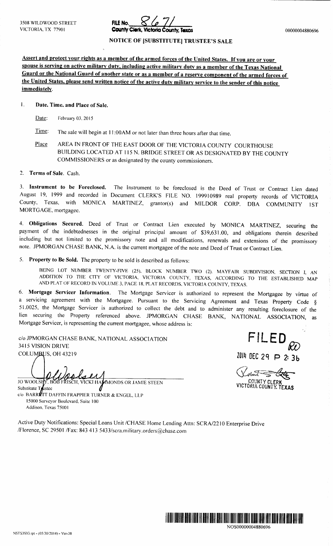# VICTORIA, TX 77901 **County Clerk, Victoria County, Texas** 600000004880696

## NOTICE OF [SUBSTITUTE] TRUSTEE'S SALE

Assert and protect your rights as <sup>a</sup> member of the armed forces of the United States. If you are or your spouse is serving on active military duty, including active military duty as <sup>a</sup> member of the Texas National Guard or the National Guard of another state or as <sup>a</sup> member of <sup>a</sup> reserve component of the armed forces of the United States, please send written notice of the active duty military service to the sender of this notice immediately.

## 1. Date. Time, and Place of Sale.

Date: February 03, 2015

Time: The sale will begin at 11:00AM or not later than three hours after that time.

Place AREA IN FRONT OF THE EAST DOOR OF THE VICTORIA COUNTY COURTHOUSE BUILDING LOCATED AT 115 N. BRIDGE STREET OR AS DESIGNATED BY THE COUNTY COMMISSIONERS or as designated by the county commissioners.

2. Terms of Sale. Cash.

3. Instrument to be Foreclosed. The Instrument to be foreclosed is the Deed of Trust or Contract Lien dated August 19, <sup>1999</sup> and recorded in Document CLERK'S FILE NO. <sup>199910989</sup> real property records of VICTORIA County, Texas, with MONICA MARTINEZ, grantor(s) and MILDOR CORP. DBA COMMUNITY 1ST MORTGAGE, mortgagee.

4. Obligations Secured. Deed of Trust or Contract Lien executed by MONICA MARTINEZ, securing the payment of the indebtednesses in the original principal amount of \$39,631. 00, and obligations therein described including but not limited to the promissory note and all modifications, renewals and extensions of the promissory note. JPMORGAN CHASE BANK, N.A. is the current mortgagee of the note and Deed of Trust or Contract Lien.

5. Property to Be Sold. The property to be sold is described as follows:

BEING LOT NUMBER TWENTY-FIVE (25), BLOCK NUMBER TWO (2). MAYFAIR SUBDIVISION, SECTION I, AN ADDITION TO THE CITY OF VICTORIA, VICTORIA COUNTY, TEXAS, ACCORDING TO THE ESTABLISHED MAP AND PLAT OF RECORD IN VOLUME 3. PAGE 18, PLAT RECORDS, VICTORIA COUNTY, TEXAS.

6. Mortgage Servicer Information. The Mortgage Servicer is authorized to represent the Mortgagee by virtue of <sup>a</sup> servicing agreement with the Mortgagee. Pursuant to the Servicing Agreement and Texas Property Code § 51. 0025, the Mortgage Servicer is authorized to collect the debt and to administer any resulting foreclosure of the lien securing the Property referenced above. JPMORGAN CHASE BANK, NATIONAL ASSOCIATION, as Mortgage Servicer, is representing the current mortgagee, whose address is:

c/o JPMORGAN CHASE BANK, NATIONAL ASSOCIATION 3415 VISION DRIVE

COLUMBUS, OH 43219

JO WOOLSHY, BOB FRISCH, VICKI HAMMONDS OR JAMIE STEEN<br>Substitute Taistee  $c/\sigma$  BARR $\rlap{\,/}$ rt Daffin frappier turner & Engel, LLP 15000 Surveyor Boulevard, Suite 100 Addison, Texas 75001

2014 DEC 29 P 2: 36

ALT-STE VICTORIA COUNTY. TEXAS

Active Duty Notifications: Special Loans Unit/ CHASE Home Lending Attn: SCRA/2210 Enterprise Drive /Florence, SC 29501 / Fax: 843 413 5433/ scra.military.orders@chase.com

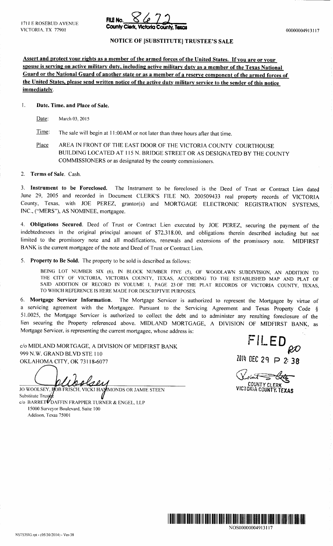

#### NOTICE OF [SUBSTITUTE] TRUSTEE'S SALE

Assert and protect your rights as <sup>a</sup> member of the armed forces of the United States. If you are or your spouse is serving on active military duty, including active military duty as <sup>a</sup> member of the Texas National Guard or the National Guard of another state or as <sup>a</sup> member of <sup>a</sup> reserve component of the armed forces of the United States, please send written notice of the active duty military service to the sender of this notice immediately.

#### 1. Date. Time, and Place of Sale.

Date: March 03, 2015

Time: The sale will begin at 11:00AM or not later than three hours after that time.

Place AREA IN FRONT OF THE EAST DOOR OF THE VICTORIA COUNTY COURTHOUSE BUILDING LOCATED AT 115 N. BRIDGE STREET OR AS DESIGNATED BY THE COUNTY COMMISSIONERS or as designated by the county commissioners.

2. Terms of Sale. Cash.

3. Instrument to be Foreclosed. The Instrument to be foreclosed is the Deed of Trust or Contract Lien dated June 29, <sup>2005</sup> and recorded in Document CLERK'S FILE NO. <sup>200509433</sup> real property records of VICTORIA County, Texas, with JOE PEREZ, grantor(s) and MORTGAGE ELECTRONIC REGISTRATION SYSTEMS, INC., (" MERS"), AS NOMINEE, mortgagee.

4. Obligations Secured. Deed of Trust or Contract Lien executed by JOE PEREZ, securing the payment of the indebtednesses in the original principal amount of \$72, 318. 00, and obligations therein described including but not limited to the promissory note and all modifications, renewals and extensions of the promissory note. MIDFIRST BANK is the current mortgagee of the note and Deed of Trust or Contract Lien.

5. Property to Be Sold. The property to be sold is described as follows:

BEING LOT NUMBER SIX (6), IN BLOCK NUMBER FIVE (5), OF WOODLAWN SUBDIVISION, AN ADDITION TO THE CITY OF VICTORIA, VICTORIA COUNTY, TEXAS, ACCORDING TO THE ESTABLISHED MAP AND PLAT OF SAID ADDITION OF RECORD IN VOLUME 1, PAGE <sup>23</sup> OF THE PLAT RECORDS OF VICTORIA COUNTY, TEXAS, TO WHICH REFERENCE IS HERE MADE FOR DESCRIPTVIE PURPOSES.

6. Mortgage Servicer Information. The Mortgage Servicer is authorized to represent the Mortgagee by virtue of <sup>a</sup> servicing agreement with the Mortgagee. Pursuant to the Servicing Agreement and Texas Property Code § 51. 0025, the Mortgage Servicer is authorized to collect the debt and to administer any resulting foreclosure of the lien securing the Property referenced above. MIDLAND MORTGAGE, A DIVISION OF MIDFIRST BANK, as Mortgage Servicer, is representing the current mortgagee, whose address is 00000004913117<br>
<u>ers or your</u><br>
<u>ers National</u><br>
<u>arred foress of<br>
arred foress of<br>
of this notice<br>
THE COUNTY<br>
THE COUNTY<br>
FIEDCOUNTY<br>
FIEDCOUNTY<br>
EGISTRATION SYSTEMS,<br>
ecuring the payment of the<br>
described including but no</u>

OKLAHOMA CITY, OK 73118- 6077 999 N.W. GRAND BLVD STE 110 o MIDLAND MORTGAGE, A DIVISION OF MIDFIRST BANK

 $\omega$ 

JO WOOLSEY, POB FRISCH, VICKI HAYIMONDS OR JAMIE STEEN TEXAS TELL THE LOUNTY TEXAS Substitute Trus  $c$  BARRET DAFFIN FRAPPIER TURNER & ENGEL, LLP 15000 Surveyor Boulevard, Suite 100 Addison, Texas 75001

1014 DEC 29 P 2: 38

VICTORIA COUNTY

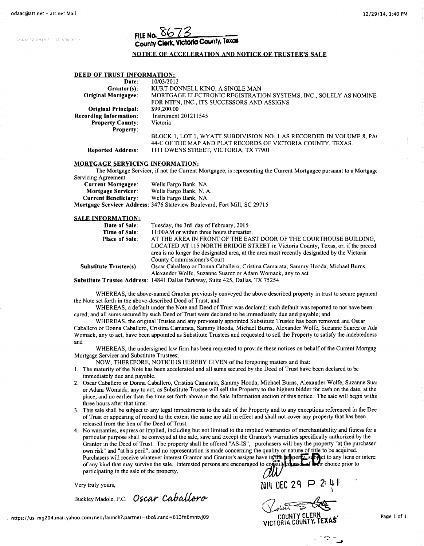Oscar 12-29.pd - Doweload -



County Clerk,Victoria County, Texas

#### NOTICE OF ACCELERATION AND NOTICE OF TRUSTEE'S SALE

#### DEED OF TRUST INFORMATION:

| Date:                         | 10/03/2012                                                          |
|-------------------------------|---------------------------------------------------------------------|
| $Grantor(s)$ .                | KURT DONNELL KING, A SINGLE MAN                                     |
| <b>Original Mortgagee:</b>    | MORTGAGE ELECTRONIC REGISTRATION SYSTEMS, INC., SOLELY AS NOMINE    |
|                               | FOR NTFN, INC., ITS SUCCESSORS AND ASSIGNS                          |
| <b>Original Principal:</b>    | \$99,200.00                                                         |
| <b>Recording Information:</b> | <b>Instrument 201211545</b>                                         |
| <b>Property County:</b>       | Victoria                                                            |
| Property:                     |                                                                     |
|                               | BLOCK 1, LOT 1, WYATT SUBDIVISION NO. 1 AS RECORDED IN VOLUME 8, PA |
|                               | 44-C OF THE MAP AND PLAT RECORDS OF VICTORIA COUNTY, TEXAS.         |
| <b>Reported Address:</b>      | 1111 OWENS STREET, VICTORIA, TX 77901                               |

#### MORTGAGE SERVICING INFORMATION:

The Mortgage Servicer, if not the Current Mortgagee, is representing the Current Mortgagee pursuant to <sup>a</sup> Mortgage Servicing Agreement.

| <b>Current Mortgagee:</b>   | Wells Fargo Bank, NA                                                     |
|-----------------------------|--------------------------------------------------------------------------|
| Mortgage Servicer:          | Wells Fargo Bank, N. A.                                                  |
| <b>Current Beneficiary:</b> | Wells Fargo Bank, NA                                                     |
|                             | Mortgage Servicer Address: 3476 Stateview Boulevard, Fort Mill, SC 29715 |

#### SALE INFORMATION:

| Date of Sale:                 | Tuesday, the 3rd day of February, 2015                                                                                                                                                                          |
|-------------------------------|-----------------------------------------------------------------------------------------------------------------------------------------------------------------------------------------------------------------|
| Time of Sale:                 | 11:00AM or within three hours thereafter.                                                                                                                                                                       |
| <b>Place of Sale:</b>         | AT THE AREA IN FRONT OF THE EAST DOOR OF THE COURTHOUSE BUILDING,                                                                                                                                               |
|                               | LOCATED AT 115 NORTH BRIDGE STREET in Victoria County, Texas, or, if the preced:<br>area is no longer the designated area, at the area most recently designated by the Victoria<br>County Commissioner's Court. |
| <b>Substitute Trustee(s):</b> | Oscar Caballero or Donna Caballero, Cristina Camarata, Sammy Hooda, Michael Burns,                                                                                                                              |
|                               | Alexander Wolfe, Suzanne Suarez or Adam Womack, any to act                                                                                                                                                      |
|                               | Substitute Trustee Address: 14841 Dallas Parkway, Suite 425, Dallas, TX 75254                                                                                                                                   |

WHEREAS, the above-named Grantor previously conveyed the above described property in trust to secure payment the Note set forth in the above- described Deed of Trust; and

WHEREAS, <sup>a</sup> default under the Note and Deed of Trust was declared; such default was reported to not have been cured; and all sums secured by such Deed of Trust were declared to be immediately due and payable; and

WHEREAS, the original Trustee and any previously appointed Substitute Trustee has been removed and Oscar Caballero or Donna Caballero, Cristina Camarata, Sammy Hooda, Michael Burns, Alexander Wolfe, Suzanne Suarez or Ada Womack, any to act, have been appointed as Substitute Trustees and requested to sell the Property to satisfy the indebtedness and

WHEREAS, the undersigned law firm has been requested to provide these notices on behalf of the Current Mortgag Mortgage Servicer and Substitute Trustees;

NOW, THEREFORE, NOTICE IS HEREBY GIVEN of the foregoing matters and that:

- 1. The maturity of the Note has been accelerated and all sums secured by the Deed of Trust have been declared to be immediately due and payable.
- 2. Oscar Caballero or Donna Caballero, Cristina Camarata, Sammy Hooda, Michael Burns, Alexander Wolfe, Suzanne Sua: or Adam Womack, any to act, as Substitute Trustee will sell the Property to the highest bidder for cash on the date, at the place, and no earlier than the time set forth above in the Sale Information section of this notice. The sale will begin withi: three hours after that time.
- 3. This sale shall be subject to any legal impediments to the sale of the Property and to any exceptions referenced in the Dee of Trust or appearing of record to the extent the same are still in effect and shall not cover any property that has been released from the lien of the Deed of Trust.
- 4. No warranties, express or implied, including but not limited to the implied warranties of merchantability and fitness for <sup>a</sup> particular purpose shall be conveyed at the sale, save and except the Grantor's warranties specifically authorized by the Grantor in the Deed of Trust. The property shall be offered" AS- IS", purchasers will buy the property" at the purchaser' own risk" and "at his peril", and no representation is made concerning the quality or nature of title to be acquired. Purchasers will receive whatever interest Grantor and Grantor's assigns have interesting proportionally ct to any liens or intere; of any kind that may survive the sale. Interested persons are encouraged to consult reduced of their choice prior to participating in the sale of the property.

Very truly yours,  $\overline{2014}$  DEC 29 P 2 4 I

Buckley Madole, P.C. Oscar Caballero

https://us-mg204.mail.vahoo.com/neo/launch?.partner=sbc&.rand=613fn6mntvj09 COUNTY CLERK vac COUNTY CLERK

VICTORIA COUNTY. TEXA§

a

ويجعت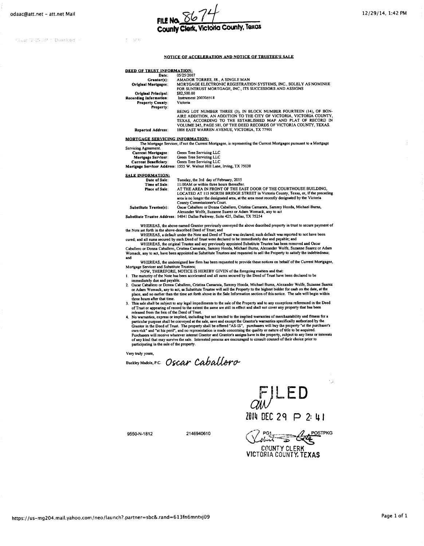Oscar (2-33 pdf. ) Download in



#### NOTICE OF ACCELERATION AND NOTICE OF TRUSTEE'S SALE

| Date:                      | 05/25/2007                                                           |
|----------------------------|----------------------------------------------------------------------|
| Grantor(s):                | AMADOR TORRES, JR., A SINGLE MAN                                     |
| <b>Original Mortgagee:</b> | MORTGAGE ELECTRONIC REGISTRATION SYSTEMS, INC., SOLELY AS NOMINEE    |
|                            | FOR SUNTRUST MORTGAGE, INC., ITS SUCCESSORS AND ASSIGNS              |
| <b>Original Principal:</b> | \$82,500.00                                                          |
| Recording Information:     | Instrument 200706918                                                 |
| <b>Property County:</b>    | Victoria                                                             |
| <b>Property:</b>           |                                                                      |
|                            | BEING LOT NUMBER THREE (3), IN BLOCK NUMBER FOURTEEN (14), OF BON-   |
|                            | AIRE ADDITION, AN ADDITION TO THE CITY OF VICTORIA, VICTORIA COUNTY, |
|                            | TEXAS, ACCORDING TO THE ESTABLISHED MAP AND PLAT OF RECORD IN        |
|                            | VOLUME 245, PAGE 581, OF THE DEED RECORDS OF VICTORIA COUNTY, TEXAS. |
| <b>Reported Address:</b>   | 1806 EAST WARREN AVENUE, VICTORIA, TX 77901                          |

#### MORTGAGE SERVICING INFORMATION:

5 of6

The Mortgage Servicer, ifnot the Current Mortgagee, is representing the Current Mortgagee pursuant to <sup>a</sup> Mortgage Servicing Agreement.

| Servicing Agreement.          |                                                                                                                                                                                                                   |
|-------------------------------|-------------------------------------------------------------------------------------------------------------------------------------------------------------------------------------------------------------------|
| <b>Current Mortgagee:</b>     | Green Tree Servicing LLC                                                                                                                                                                                          |
| Mortgage Servicer:            | Green Tree Servicing LLC                                                                                                                                                                                          |
| <b>Current Beneficiary:</b>   | Green Tree Servicing LLC                                                                                                                                                                                          |
|                               | Mortgage Servicer Address: 1555 W. Walnut Hill Lane, Irving, TX 75038                                                                                                                                             |
| <b>SALE INFORMATION:</b>      |                                                                                                                                                                                                                   |
| Date of Sale:                 | Tuesday, the 3rd day of February, 2015                                                                                                                                                                            |
| Time of Sale:                 | $11:00AM$ or within three hours thereafter.                                                                                                                                                                       |
| <b>Place of Sale:</b>         | AT THE AREA IN FRONT OF THE EAST DOOR OF THE COURTHOUSE BUILDING.                                                                                                                                                 |
|                               | LOCATED AT 115 NORTH BRIDGE STREET in Victoria County, Texas, or, if the preceding<br>area is no longer the designated area, at the area most recently designated by the Victoria<br>County Commissioner's Court. |
|                               | Oscar Caballero or Donna Caballero, Cristina Camarata, Sammy Hooda, Michael Burns,                                                                                                                                |
| <b>Substitute Trustee(s):</b> |                                                                                                                                                                                                                   |
|                               | Alexander Wolfe, Suzanne Suarez or Adam Womack, any to act                                                                                                                                                        |

Alexander Wolfe, Suzanne Suarez or Adam Womack, any to act<br>Substitute Trustee Address: 14841 Dallas Parkway, Suite 425, Dallas, TX 75254

WHEREAS, the above-named Grantor previously conveyed the above described property in trust to secure payment of the Note set forth in the above- described Deed of Trust; and

WHEREAS, a default under the Note and Deed of Trust was declared; such default was reported to not have been cured; and all sums secured by such Deed of Trust were declared to be immediately due and payable; and

WHEREAS, the original Trustee and any previously appointed Substitute Trustee has been removed and Oscar Caballero or Donna Caballero, Cristina Camarata, Sammy Hooda, Michael Burns, Alexander Wolfe, Suzanne Suarez or Adam Womack, any to act, have been appointed as Substitute Trustees and requested to sell the Property to satisfy the indebtedness; and

WHEREAS, the undersigned law firm has been requested to provide these notices on behalf ofthe Current Mortgagee,

Mortgage Servicer and Substitute Trustees;<br>NOW, THEREFORE, NOTICE IS HEREBY GIVEN of the foregoing matters and that:<br>I. The maturity of the Note has been accelerated and all sums secured by the Deed of Trust have been de

immediately due and payable. 2. Oscar Caballero or Donna Caballero, Cristina Camarata, Sammy Hoods, Michael Burns, Alexander Wolfe, Suzanne Suarez or Adam Womack, any to act, as Substitute Trustee will sell the Property to the highest bidder for cash on the date, at the<br>place, and no earlier than the time set forth above in the Sale Information section of this notice three hours after that time.

3. This sale shall be subject to any legal impediments to the sale of the Property and to any exceptions referenced in the Deed<br>of Trust or appearing of record to the extent the same are still in effect and shall not cover

4. No warranties, express or implied, including but not limited to the implied warranties of merchantability and fitness for a particular purpose shall be conveyed at the sale, save and except the Grantofr Swarranties spec Purchasers will receive whatever interest Grantor and Grantor's assigns have in the property, subject to any liens or interests<br>of any kind that may survive the sale. Interested persons are encouraged to consult counsel of

Very truly yours,

Buckley Madole, P.C. Oscar Caballero

**ELED**  $2014$  DEC 29  $\Box$  2: 41

9550- N- 1812 2146940610 PGA .\_ POSTPKG COUNTY CLERK VICTORIA COUNTY. TEXAS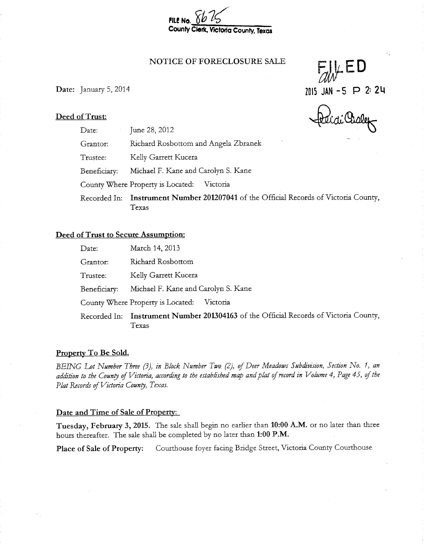

#### NOTICE OF FORECLOSURE SALE

Date: January 5, 2014 2015 2014 2015 JAN - 5 P 2: 24

aleidi Chol

Deed of Trust:

Date: June 28, 2012

Grantor: Richard Rosbottom and Angela Zbranek

Trustee: Kelly Garrett Kucera

Beneficiary: Michael F. Kane and Carolyn S. Kane

County Where Property is Located: Victoria

Recorded In: Instrument Number 201207041 of the Official Records of Victoria County, Texas

#### Deed of Trust to Secure Assumption:

| Date: | March 14, 2013 |  |
|-------|----------------|--|
|       |                |  |

Grantor: Richard Rosbottom

Trustee: Kelly Garrett Kucera

Beneficiary: Michael F. Kane and Carolyn S. Kane

County Where Property is Located: Victoria

Recorded In: Instrument Number 201304163 of the Official Records of Victoria County, Texas

#### Property To Be Sold.

BEING Lot Number Three (3), in Block Number Two. (2), of Deer Meadows Subdivision, Section No. 1, an addition to the County of Victoria, according to the established map and plat of record in Volume 4, Page 45, of the Plat Records of Victoria County, Texas.

#### Date and Time of Sale of Property:

Tuesday, February 3, 2015. The sale shall begin no earlier than 10:00 A.M. or no later than three hours thereafter. The sale shall be completed by no later than 1:00 P.M.

Place of Sale of Property: Courthouse foyer facing Bridge Street, Victoria County Courthouse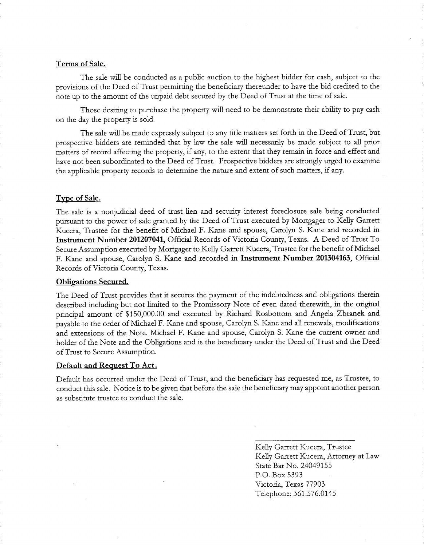#### Terms of Sale.

The sale will be conducted as <sup>a</sup> public auction to the highest bidder for cash, subject to the provisions of the Deed of Trust permitting the beneficiary thereunder to have the bid credited to the note up to the amount of the unpaid debt secured by the Deed of Trust at the time of sale.

Those desiring to purchase the property will need to be demonstrate their ability to pay cash on the day the property is sold.

The sale will be made expressly subject to any title matters set forth in the Deed of Trust, but prospective bidders are reminded that by law the sale will necessarily be made subject to all prior matters of record affecting the property, if any, to the extent that they remain in force and effect and have not been subordinated to the Deed of Trust. Prospective bidders are strongly urged to examine the applicable property records to determine the nature and extent of such matters, if any.

#### Type of Sale.

The sale is <sup>a</sup> nonjudicial deed of trust lien and security interest foreclosure sale being conducted pursuant to the power of sale granted by the Deed of Trust executed by Mortgager to Kelly Garrett Kucera, Trustee for the benefit of Michael F. Kane and spouse, Carolyn S. Kane and recorded in Instrument Number 201207041, Official Records of Victoria County, Texas. A Deed of Trust To Secure Assumption executed by Mortgager to Kelly Garrett Kucera, Trustee for the benefit of Michael F. Kane and spouse, Carolyn S. Kane and recorded in Instrument Number 201304163, Official Records of Victoria County, Texas.

#### Obligations Secured.

The Deed of Trust provides that it secures the payment of the indebtedness and obligations therein described including but not limited to the Promissory Note of even dated therewith, in the original principal amount of \$150, 000.00 and executed by Richard Rosbottom and Angela Zbranek and payable to the order of Michael F. Kane and spouse, Carolyn S. Kane and all renewals, modifications and extensions of the Note. Michael F. Kane and spouse, Carolyn S. Kane the current owner and holder of the Note and the Obligations and is the beneficiary under the Deed of Trust and the Deed of Trust to Secure Assumption.

#### Default and Request To Act.

Default has occurred under the Deed of Trust, and the beneficiary has requested me, as Trustee, to conduct this sale. Notice is to be given that before the sale the beneficiary may appoint another person as substitute trustee to conduct the sale.

> Kelly Garrett Kucera, Trustee Kelly Garrett Kucera, Attorney at Law State Bar No. 24049155 P.O. Box 5393 Victoria, Texas 77903 Telephone: 361. 576.0145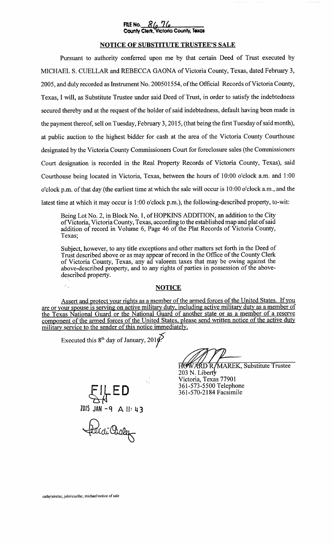## FILE No.  $\frac{8}{6}$ <br>County Clerk, V Victoria County, Texas

## NOTICE OF SUBSTITUTE TRUSTEE'S SALE

Pursuant to authority conferred upon me by that certain Deed of Trust executed by MICHAEL S. CUELLAR and REBECCA GAONA of Victoria County, Texas, dated February 3, 2005, and duly recorded as Instrument No. 200501554, of the Official Records of Victoria County, Texas, I will, as Substitute Trustee under said Deed of Trust, in order to satisfy the indebtedness secured thereby and at the request of the holder of said indebtedness, default having been made in the payment thereof, sell on Tuesday, February 3, 2015,( that being the first Tuesday of said month), at public auction to the highest bidder for cash at the area of the Victoria County Courthouse designated by the Victoria County Commissioners Court for foreclosure sales( the Commissioners Court designation is recorded in the Real Property Records of Victoria County, Texas), said Courthouse being located in Victoria, Texas, between the hours of 10:00 o'clock a.m. and 1:00 o'clock p.m. of that day (the earliest time at which the sale will occur is  $10:00$  o'clock a.m., and the latest time at which it may occur is 1:00 o'clock p.m.), the following-described property, to-wit:

Being Lot No. 2, in Block No. 1, of HOPKINS ADDITION, an addition to the City ofVictoria, Victoria County, Texas, according to the established map and plat ofsaid addition of record in Volume 6, Page 46 of the Plat Records of Victoria County, Texas;

Subject, however, to any title exceptions and other matters set forth in the Deed of Trust described above or as may appear of record in the Office of the County Clerk of Victoria County, Texas, any ad valorem taxes that may be owing against the above-described property, and to any rights of parties in possession of the abovedescribed property.

## **NOTICE**

Assert and protect your rights as a member of the armed forces of the United States. If you are or your spouse is serving on active military duty, including active military duty as a member of the Texas National Guard or the National Guard of another state or as <sup>a</sup> member of a reserve component of the armed forces of the United States, please send written notice of the active duty military service to the sender of this notice immediately.

Executed this  $8<sup>th</sup>$  day of January, 201 $\hat{f}$ .

**CONCRETE CONTROLLER CONTROLLER CONTROLLER CONTROLLER CONTROLLER CONTROLLER CONTROLLER CONTROLLER CONTROLLER CONTROLLER CONTROLLER CONTROLLER CONTROLLER CONTROLLER CONTROLLER CONTROLLER CONTROLLER CONTROLLER CONTROLLER CON** 

203 N. Libe Victoria, Texas 77901 361-573-5500 Telephone 361-570-2184 Facsimile

 $E = D$ <br>2015 JAN - 9 A 11: 43

Didi Chalex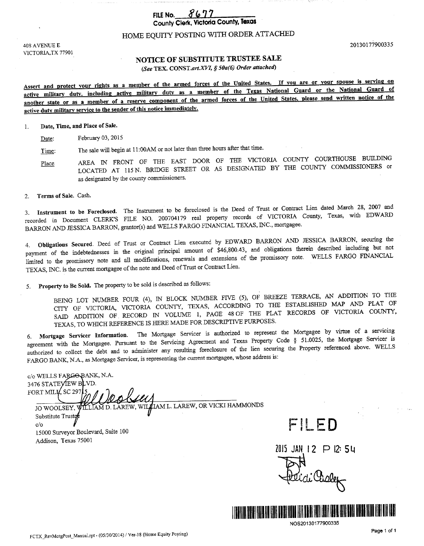## FILE No.  $8677$ County Clerk, Victoria County, Texas

### HOME EQUITY POSTING WITH ORDER ATTACHED

408 AVENUE E 20130177900335 V1CTORIA,TX 77901

## NOTICE OF SUBSTITUTE TRUSTEE SALE

(See TEX. CONST.art.XVI, § 50a(6) Order attached)

Assert and protect your rights as <sup>a</sup> member of the armed forces of the United States. If you are or your spouse is serving on active military duty, including active military duty as a member of the Texas National Guard or the National Guard of another state or as a member of a reserve component of the armed forces of the United States, please send written notice of the active duty military service to the sender of this notice immediately.

1. Date, Time, and Place of Sale.

Date: February 03, 2015

Time: The sale will begin at 11:00AM or not later than three hours after that time.

Place AREA IN FRONT OF THE EAST DOOR OF THE VICTORIA COUNTY COURTHOUSE BUILDING LOCATED AT 115 N. BRIDGE STREET OR AS DESIGNATED BY THE COUNTY COMMISSIONERS or as designated by the county commissioners.

2. Terms of Sale. Cash.

3. Instrument to be Foreclosed. The Instrument to be foreclosed is the Deed of Trust or Contract Lien dated March 28, 2007 and recorded in Document CLERK'S FILE NO. <sup>200704179</sup> real property records of VICTORIA County, Texas, with EDWARD BARRON AND JESSICA BARRON, gantor(s) and WELLS FARGO FINANCIAL TEXAS, INC., mortgagee.

4. Obligations Secured. Deed of Trust or Contract Lien executed by EDWARD BARRON AND JESSICA BARRON, securing the payment of the indebtednesses in the original principal amount of \$46,800.43, and obligations therein described including but not limited to the promissory note and all modifications, renewals and extensions of the promissory note. WELLS FARGO FINANCIAL TEXAS, INC. is the current mortgagee of the note and Deed of Trust or Contract Lien.

5. Property to Be Sold. The property to be sold is described as follows:

BEING LOT NUMBER FOUR (4), IN BLOCK NUMBER FIVE (5), OF BREEZE TERRACE, AN ADDITION TO THE CITY OF VICTORIA, VICTORIA COUNTY, TEXAS, ACCORDING TO THE ESTABLISHED MAP AND PLAT OF SAID ADDITION OF. RECORD IN VOLUME 1, PAGE <sup>48</sup> OF THE PLAT RECORDS OF VICTORIA COUNTY, TEXAS, TO WHICH REFERENCE IS HERE MADE FOR DESCRIPTIVE PURPOSES.

6. Mortgage Servicer Information. The Mortgage Servicer is authorized to represent the Mortgagee by virtue of <sup>a</sup> servicing agreement with the Mortgagee. Pursuant to the Servicing Agreement and Texas Property Code § 51.0025, the Mortgage Servicer is authorized to collect the debt and to administer any resulting foreclosure of the lien securing the Property referenced above. WELLS FARGO BANK, N.A., as Mortgage Servicer, is representing the current mortgagee, whose address is:

c/o WELLS FARGO BANK, N.A. 3476 STATEYIEW BLVD. FORT MILI $\ell$ , SC 297 JO WOOLSEY, WILLIAM D. LAREW, WILLIAM L. LAREW, OR VICKI HAMMONDS<br>Substitute Truster<br>15000 Surveyor Boulevard, Suite 100 Substitute Truste c/ o Addison, Texas 75001

2015 JAN 12 P 12:54

di Chale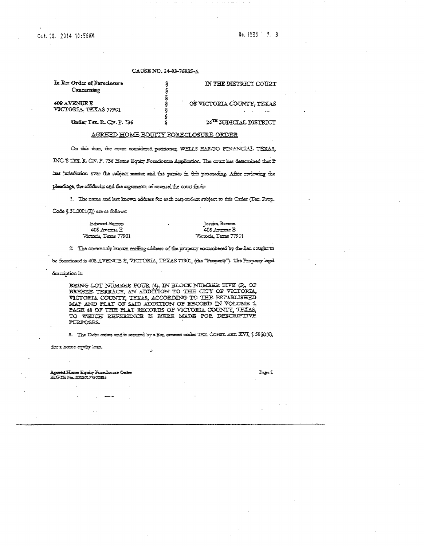#### Oct. 10. 2014 10:56AM

#### No. 1535 7. 3

## CAUSE NO. 14-83-76035-4 ŝ

Ş

Ş

ŝ ŝ

| In Res Order of Fareclosure |
|-----------------------------|
| Concerning                  |

#### IN THE DISTRICT COURT

 $408$  AVENUE E VICTORIA, TEXAS 77901

#### OF VICTORIA COUNTY, TEXAS

Under Tex. R. Civ. P. 736

24TH JUDICIAL DISTRICT

### Ş AGREED HOME BOUITY FORECLOSURE ORDER

On this dan, the count considered petrioner, WELLS EARGO FINANCIAL TEXAS, INC-S TEX R. C.F. P. 736 Home Equip Foreclosum Application. The court has determined that it has jurisdiction over the subject matter and the paries in this proceeding. After reviewing the

#### pleadings, the affidavits and the arguments of counsel the court finds:

1. The name and lest known address for each respondent subject to this Order (Tex. Prop.

Code § 51.0001(2)) are as follows:

Edward Barron 408 Avenue E Victoria, Tezas 77901

Jessica Barrom 408 Avenue E Victoria, Texas 77901

2) The commonly known melling address of the property encumbered by the lien sought to

be functioned is 408 AVENUE E, VICTORIA, TEXAS 77901, (the "Papperty"). The Property legal

description is:

BEING LOT NUMBER FOUR (4), IN BLOCK NUMBER FIVE (5), OF BREEZE TERRACE, AN ADDITION TO THE CITY OF VICTORIA VICTORIA COUNTY, TEXAS, ACCORDING TO THE ESTABLISHED MAP AND PLAT OF SAID ADDITION OF RECORD IN VOLUME 1. PAGE 48 OF THE PLAT RECORDS OF VICTORIA COUNTY, TEXAS, TO WHICH REFERENCE IS HERE MADE FOR DESCRIPTIVE PURPOSES.

3. The Debt exists and is recurred by a fien created under TEZ CONST. ART. XVI, § 50(a)(6),

for a home equity loss.

Agreed Home Equip Foreclosure Order BDFTE Ne. 20130177900335

Page 1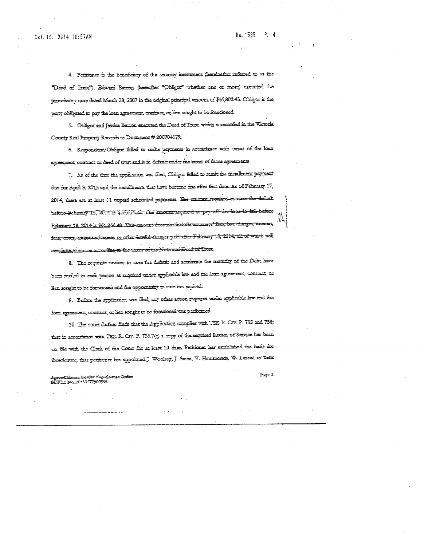4. Petitioner is the beneficiary of the security insurantina (hereinafter referred to as the "Deed of Iras?"). Bdward Barron (hereafter "Obligor" whether one or more) executed the promissory nous dated March 28, 2007 in the original principal amount of \$46,800.43. Obligor is the party obligated to pay the loan agreement, contract, or lien sought to be foreclosed.

5. Ohligor and Jessica Barron executed the Deed of Trust, which is recorded in the Victoria County Real Property Records as Document # 200704179.

6. Respondent/Obligor failed to make payments in accordance with tensus of the losn agreement, contract or deed of trust and is in default under the terms of those agreements.

7. As of the date the application was filed. Obligor felled to remit the installment payment due for April 3, 2013 and the installments that have become due after that date. As of February 17, 2014, there are at least 11 rapaid schemiled payments. The among required as expected خصت before Pebruary 15, 2014 is \$10,014.25. The amount required to pay off-the loss-in-fall before February 18, 2014 is \$61,265.49. This amount does not include and fest bre charger, inneren fess, coses, esses machines or other issuid charges paid after February 18, 2914; all-of-which will compane to across secretary to the stock and the diffust

8. The requisite notices to outs the defenit and accelerate the maturity of the Debt have been mailed to each person as required under applicable law and the losn agreement, contract, or Hen sought to be foreclosed and the opportunity to oute has expired.

9. Before the application was filed, any other action required under applicable law and the loan agreement, contract, or hen sought to be foreclosed was performed.

10. The court further finds that the Application complies with TEX. E. CIV. P. 755 and 756; that in accordance with TEX R-CIV. P-736.7(c) a copy of the required Renum of Service has been on file with the Clerk of the Count for at least 10 days. Peritioner has established the basis for foreclosure; that perificner has appointed J. Woolsey, J. Suesn, V. Hammonds, W. Larew, or their

Agreed Home Equity Foreclesure Order<br>BDFIE No. 20130177900555

 $2$  age  $2$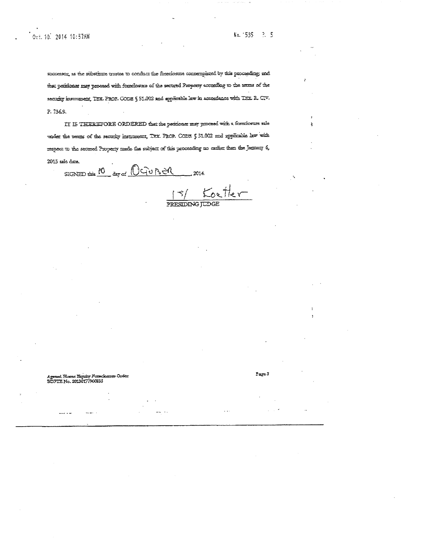Oct. 10, 2014 10:57AW

successor, as the substitute trustee to conduct the foreclosure contemplated by this proceeding; and that peridoner may proceed with foreclosure of the sectored Property according to the terms of the security instrument, TEX PROP. CODE § 51.002 and applicable law in accordance with TEX R. C.V. P. 736.9.

IT IS THEREFORE ORDERED that the peciconer may proceed with a foreclosure sale under the terms of the security instrument, TEX PROP. CODE § 51.002 and applicable law wath respect to the secured Property made the subject of this proceeding no earlier than the Jamaxy 6, 2015 sale dans.

SIGNED this  $10$  day of  $0$   $10$   $15$   $2014$ 

15/ Koetter

Agreed Home Bouity Forsclosure Order<br>BDFIE No. 20130177900355

 $r_{\rm age}$   $\bar{s}$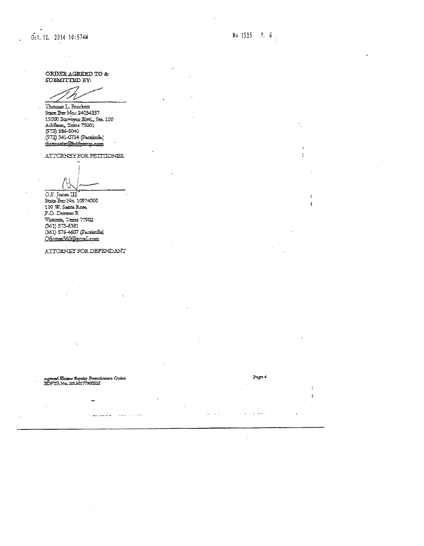$\ddot{\phantom{a}}$ 

ORDER AGREED TO  $\&$ SUBMITTED BY:

9

Thomas L. Brackett State Ber No.: 24034357 15000 Surveyor Blvd., See. 190 Addison, Texas 75001 (972) 386-5040 (972) 341-0734 (Pacsimile)<br>thomaster@bdferown.com

ATTORNEY FOR PETITIONER

O.F. Jones III State Bzz No. 10974000 109 W. Santa Rose  $P.O.Dx = E$ Victoria, Texas 77902 (361) 573-6381 (361) 576-4607 (Facsimile)<br>Ofiones:560/@gmail.com

ATTORNEY FOR DEFENDANT

# Agreed Home Bouiry Possedosure Order<br>BDFTE No. 20150177900555

 $\sim$  $\frac{1}{2}$  and  $\frac{1}{2}$  are set of the والمتحاذ والمتحدث

þ ÷  $\mathbf{r}$ 

 $\ddot{\mathbf{t}}$ 

 $P_{\text{age}}4$ 

 $\mathbf{I}$  $\frac{1}{2}$ للعمورين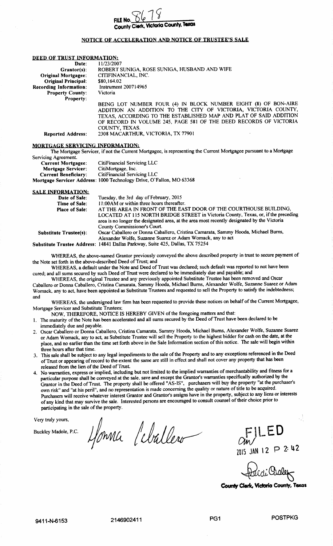## FILE No. ria County, Texas

#### NOTICE OF ACCELERATION AND NOTICE OF TRUSTEE'S SALE

#### DEED OF TRUST INFORMATION:

| Date:                         | 11/23/2007                                                        |
|-------------------------------|-------------------------------------------------------------------|
| $Grantor(s):$                 | ROBERT SUNIGA, ROSE SUNIGA, HUSBAND AND WIFE                      |
| <b>Original Mortgagee:</b>    | CITIFINANCIAL, INC.                                               |
| <b>Original Principal:</b>    | \$80,164.02                                                       |
| <b>Recording Information:</b> | Instrument 200714965                                              |
| <b>Property County:</b>       | <b>Victoria</b>                                                   |
| <b>Property:</b>              |                                                                   |
|                               | BEING LOT NUMBER FOUR (4) IN BLOCK NUMBER EIGHT (8) OF BON-AIRE   |
|                               | ADDITION AN ADDITION TO THE CITY OF VICTORIA, VICTORIA COUNTY,    |
|                               | TEXAS, ACCORDING TO THE ESTABLISHED MAP AND PLAT OF SAID ADDITION |
|                               | OF RECORD IN VOLUME 245, PAGE 581 OF THE DEED RECORDS OF VICTORIA |
|                               | COUNTY, TEXAS.                                                    |
| <b>Reported Address:</b>      | 2308 MACARTHUR, VICTORIA, TX 77901                                |

#### MORTGAGE SERVICING INFORMATION:.

The Mortgage Servicer, if not the Current Mortgagee, is representing the Current Mortgagee pursuant to <sup>a</sup> Mortgage Servicing Agreement.

| <b>Current Mortgagee:</b>   | CitiFinancial Servicing LLC                                          |
|-----------------------------|----------------------------------------------------------------------|
| <b>Mortgage Servicer:</b>   | CitiMortgage, Inc.                                                   |
| <b>Current Beneficiary:</b> | CitiFinancial Servicing LLC                                          |
|                             | Mortgage Servicer Address: 1000 Technology Drive, O'Fallon, MO 63368 |

SALE INFORMATION:

| SALE INFORMATIONE             |                                                                                                                                                                                                                                                                                        |
|-------------------------------|----------------------------------------------------------------------------------------------------------------------------------------------------------------------------------------------------------------------------------------------------------------------------------------|
| Date of Sale:                 | Tuesday, the 3rd day of February, 2015                                                                                                                                                                                                                                                 |
| Time of Sale:                 | 11:00AM or within three hours thereafter.                                                                                                                                                                                                                                              |
| <b>Place of Sale:</b>         | AT THE AREA IN FRONT OF THE EAST DOOR OF THE COURTHOUSE BUILDING,<br>LOCATED AT 115 NORTH BRIDGE STREET in Victoria County, Texas, or, if the preceding<br>area is no longer the designated area, at the area most recently designated by the Victoria<br>County Commissioner's Court. |
| <b>Substitute Trustee(s):</b> | Oscar Caballero or Donna Caballero, Cristina Camarata, Sammy Hooda, Michael Burns,<br>Alexander Wolfe, Suzanne Suarez or Adam Womack, any to act                                                                                                                                       |
|                               | Substitute Trustee Address: 14841 Dallas Parkway, Suite 425, Dallas, TX 75254                                                                                                                                                                                                          |
|                               |                                                                                                                                                                                                                                                                                        |

WHEREAS, the above-named Grantor previously conveyed the above described property in trust to secure payment of the Note set forth in the above-described Deed of Trust; and

WHEREAS, <sup>a</sup> default under the Note and Deed of Trust was declared; such default was reported to not have been cured; and all sums secured by such Deed of Trust were declared to be immediately due and payable; and

WHEREAS, the original Trustee and any previously appointed Substitute Trustee has been removed and Oscar Caballero or Donna Caballero, Cristina Camarata, Sammy Hooda, Michael Burns, Alexander Wolfe, Suzanne Suarez or Adam Womack, any to act, have been appointed as Substitute Trustees and requested to sell the Property to satisfy the indebtedness; and

WHEREAS, the undersigned law firm has been requested to provide these notices on behalf of the Current Mortgagee, Mortgage Servicer and Substitute Trustees;

NOW, THEREFORE, NOTICE IS HEREBY GIVEN of the foregoing matters and that:

- 1. The maturity of the Note has been accelerated and all sums secured by the Deed of Trust have been declared to be immediately due and payable.
- 2. Oscar Caballero or Donna Caballero, Cristina Camarata, Sammy Hooda, Michael Burns, Alexander Wolfe, Suzanne Suarez or Adam Womack, any to act, as Substitute Trustee will sell the Property to the highest bidder for cash on the date, at the place, and no earlier than the time set forth above in the Sale Information section of this notice. The sale will begin within three hours after that time.
- 3. This sale shall be subject to any legal impediments to the sale ofthe Property and to any exceptions referenced in the Deed ofTrust or appearing of record to the extent the same are still in effect and shall not cover any property that has been released from the lien of the Deed of Trust.
- 4. No warranties, express or implied, including but not limited to the implied warranties of merchantability and fitness for <sup>a</sup> particular purpose shall be conveyed at the sale, save and except the Grantor's warranties specifically authorized by the Grantor in the Deed of Trust. The property shall be offered "AS-IS", purchasers will buy the property "at the purchaser's own risk" and "at his peril", and no representation is made concerning the quality or nature of title to be acquired. Purchasers will receive whatever interest Grantor and Grantor's assigns have in the property, subject to any liens or interests ofany kind that may survive the sale. Interested persons are encouraged to consult counsel of their choice prior to participating in the sale of the property.

Very truly yours,

Buckley Madole, P.C. 4formla l'aballero

OW 2015 JAN 12  $\mathsf{P}$  2 42

aidi Chaley

County Clerk, Victoria County, Texas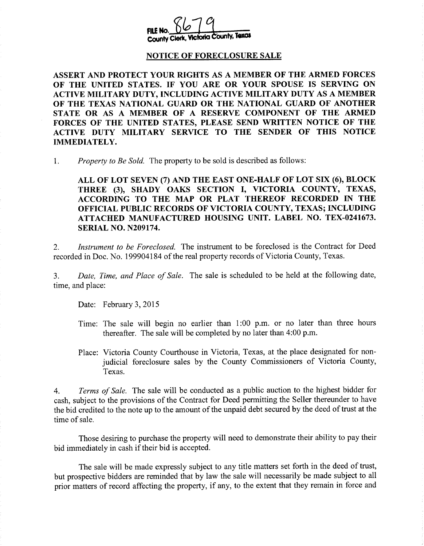# FILE No.  $\bigcup_{\alpha}$ County Clerk, Victoria County, Takes

#### NOTICE OF FORECLOSURE SALE

ASSERT AND PROTECT YOUR RIGHTS AS A MEMBER OF THE ARMED FORCES OF THE UNITED STATES. IF YOU ARE OR YOUR SPOUSE IS SERVING ON ACTIVE MILITARY DUTY, INCLUDING ACTIVE MILITARY DUTY AS A MEMBER OF THE TEXAS NATIONAL GUARD OR THE NATIONAL GUARD OF ANOTHER STATE OR AS A MEMBER OF A RESERVE COMPONENT OF THE ARMED FORCES OF THE UNITED STATES, PLEASE SEND WRITTEN NOTICE OF THE ACTIVE DUTY MILITARY SERVICE TO THE SENDER OF THIS NOTICE IMMEDIATELY.

1. Property to Be Sold. The property to be sold is described as follows:

ALL OF LOT SEVEN (7) AND THE EAST ONE-HALF OF LOT SIX (6), BLOCK THREE (3), SHADY OAKS SECTION I, VICTORIA COUNTY, TEXAS, ACCORDING TO THE MAP OR PLAT THEREOF RECORDED IN THE OFFICIAL PUBLIC RECORDS OF VICTORIA COUNTY, TEXAS; INCLUDING ATTACHED MANUFACTURED HOUSING UNIT. LABEL NO. TEX-0241673. SERIAL NO. N209174.

2. Instrument to be Foreclosed. The instrument to be foreclosed is the Contract for Deed recorded in Doc. No. 199904184 of the real property records of Victoria County, Texas.

3. Date, Time, and Place of Sale. The sale is scheduled to be held at the following date, time, and place:

Date: February 3, 2015

- Time: The sale will begin no earlier than 1:00 p.m. or no later than three hours thereafter. The sale will be completed by no later than 4:00 p.m.
- Place: Victoria County Courthouse in Victoria, Texas, at the place designated for nonjudicial foreclosure sales by the County Commissioners of Victoria County, Texas.

4. Terms of Sale. The sale will be conducted as a public auction to the highest bidder for cash, subject to the provisions of the Contract for Deed permitting the Seller thereunder to have the bid credited to the note up to the amount of the unpaid debt secured by the deed of trust at the time of sale.

Those desiring to purchase the property will need to demonstrate their ability to pay their bid immediately in cash if their bid is accepted.

The sale will be made expressly subject to any title matters set forth in the deed of trust, but prospective bidders are reminded that by law the sale will necessarily be made subject to all prior matters of record affecting the property, if any, to the extent that they remain in force and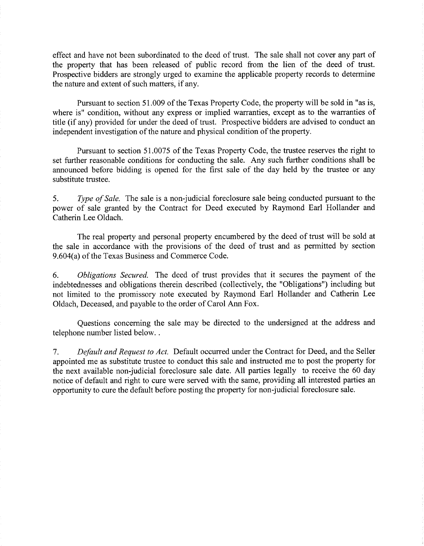effect and have not been subordinated to the deed of trust. The sale shall not cover any part of the property that has been released of public record from the lien of the deed of trust. Prospective bidders are strongly urged to examine the applicable property records to determine the nature and extent of such matters, if any.

Pursuant to section 51. 009 of the Texas Property Code, the property will be sold in "as is, where is" condition, without any express or implied warranties, except as to the warranties of title (if any) provided for under the deed of trust. Prospective bidders are advised to conduct an independent investigation of the nature and physical condition of the property.

Pursuant to section 51. 0075 of the Texas Property Code, the trustee reserves the right to set further reasonable conditions for conducting the sale. Any such further conditions shall be announced before bidding is opened for the first sale of the day held by the trustee or any substitute trustee.

5. Type of Sale. The sale is a non-judicial foreclosure sale being conducted pursuant to the power of sale granted by the Contract for Deed executed by Raymond Earl Hollander and Catherin Lee Oldach.

The real property and personal property encumbered by the deed of trust will be sold at the sale in accordance with the provisions of the deed of trust and as permitted by section 9. 604( a) of the Texas Business and Commerce Code.

6. Obligations Secured. The deed of trust provides that it secures the payment of the indebtednesses and obligations therein described ( collectively, the " Obligations") including but not limited to the promissory note executed by Raymond Earl Hollander and Catherin Lee Oldach, Deceased, and payable to the order of Carol Ann Fox.

Questions concerning the sale may be directed to the undersigned at the address and telephone number listed below. .

7. Default and Request to Act. Default occurred under the Contract for Deed, and the Seller appointed me as substitute trustee to conduct this sale and instructed me to post the property for the next available non-judicial foreclosure sale date. All parties legally to receive the 60 day notice of default and right to cure were served with the same, providing all interested parties an opportunity to cure the default before posting the property for non-judicial foreclosure sale.